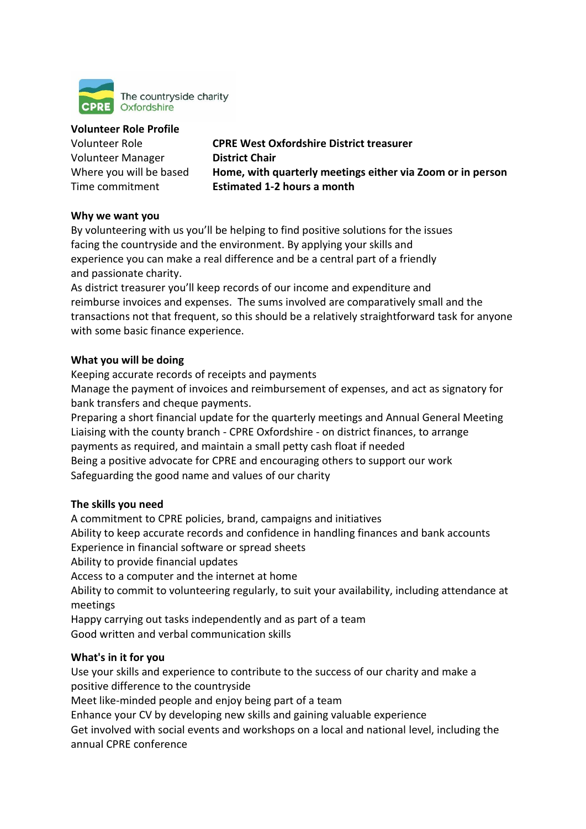

#### **Volunteer Role Profile**

Volunteer Manager **District Chair**

Volunteer Role **CPRE West Oxfordshire District treasurer** Where you will be based **Home, with quarterly meetings either via Zoom or in person** Time commitment **Estimated 1-2 hours a month**

### **Why we want you**

By volunteering with us you'll be helping to find positive solutions for the issues facing the countryside and the environment. By applying your skills and experience you can make a real difference and be a central part of a friendly and passionate charity.

As district treasurer you'll keep records of our income and expenditure and reimburse invoices and expenses. The sums involved are comparatively small and the transactions not that frequent, so this should be a relatively straightforward task for anyone with some basic finance experience.

### **What you will be doing**

Keeping accurate records of receipts and payments

Manage the payment of invoices and reimbursement of expenses, and act as signatory for bank transfers and cheque payments.

Preparing a short financial update for the quarterly meetings and Annual General Meeting Liaising with the county branch - CPRE Oxfordshire - on district finances, to arrange payments as required, and maintain a small petty cash float if needed Being a positive advocate for CPRE and encouraging others to support our work

Safeguarding the good name and values of our charity

# **The skills you need**

A commitment to CPRE policies, brand, campaigns and initiatives Ability to keep accurate records and confidence in handling finances and bank accounts Experience in financial software or spread sheets Ability to provide financial updates Access to a computer and the internet at home Ability to commit to volunteering regularly, to suit your availability, including attendance at meetings Happy carrying out tasks independently and as part of a team Good written and verbal communication skills **What's in it for you**

Use your skills and experience to contribute to the success of our charity and make a positive difference to the countryside

Meet like-minded people and enjoy being part of a team

Enhance your CV by developing new skills and gaining valuable experience

Get involved with social events and workshops on a local and national level, including the annual CPRE conference